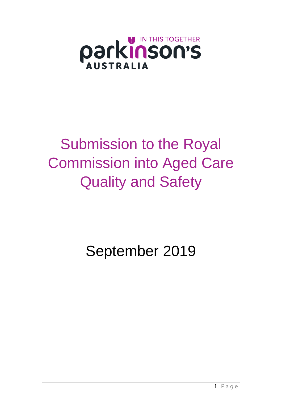

# Submission to the Royal Commission into Aged Care Quality and Safety

September 2019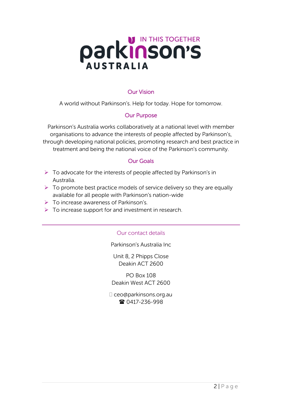

#### Our Vision

A world without Parkinson's. Help for today. Hope for tomorrow.

#### Our Purpose

Parkinson's Australia works collaboratively at a national level with member organisations to advance the interests of people affected by Parkinson's, through developing national policies, promoting research and best practice in treatment and being the national voice of the Parkinson's community.

#### Our Goals

- $\triangleright$  To advocate for the interests of people affected by Parkinson's in Australia.
- $\triangleright$  To promote best practice models of service delivery so they are equally available for all people with Parkinson's nation-wide
- ➢ To increase awareness of Parkinson's.
- $\triangleright$  To increase support for and investment in research.

#### Our contact details

Parkinson's Australia Inc

Unit 8, 2 Phipps Close Deakin ACT 2600

PO Box 108 Deakin West ACT 2600

 ceo@parkinsons.org.au ■ 0417-236-998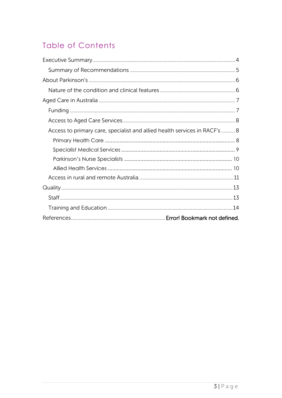# **Table of Contents**

| Access to primary care, specialist and allied health services in RACF's  8 |  |
|----------------------------------------------------------------------------|--|
|                                                                            |  |
|                                                                            |  |
|                                                                            |  |
|                                                                            |  |
|                                                                            |  |
|                                                                            |  |
|                                                                            |  |
|                                                                            |  |
|                                                                            |  |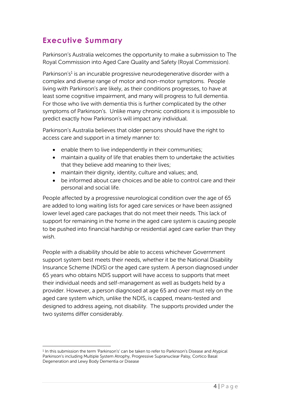## <span id="page-3-0"></span>**Executive Summary**

Parkinson's Australia welcomes the opportunity to make a submission to The Royal Commission into Aged Care Quality and Safety (Royal Commission).

Parkinson's<sup>1</sup> is an incurable progressive neurodegenerative disorder with a complex and diverse range of motor and non-motor symptoms. People living with Parkinson's are likely, as their conditions progresses, to have at least some cognitive impairment, and many will progress to full dementia. For those who live with dementia this is further complicated by the other symptoms of Parkinson's. Unlike many chronic conditions it is impossible to predict exactly how Parkinson's will impact any individual.

Parkinson's Australia believes that older persons should have the right to access care and support in a timely manner to:

- enable them to live independently in their communities;
- maintain a quality of life that enables them to undertake the activities that they believe add meaning to their lives;
- maintain their dignity, identity, culture and values; and,
- be informed about care choices and be able to control care and their personal and social life.

People affected by a progressive neurological condition over the age of 65 are added to long waiting lists for aged care services or have been assigned lower level aged care packages that do not meet their needs. This lack of support for remaining in the home in the aged care system is causing people to be pushed into financial hardship or residential aged care earlier than they wish.

People with a disability should be able to access whichever Government support system best meets their needs, whether it be the National Disability Insurance Scheme (NDIS) or the aged care system. A person diagnosed under 65 years who obtains NDIS support will have access to supports that meet their individual needs and self-management as well as budgets held by a provider. However, a person diagnosed at age 65 and over must rely on the aged care system which, unlike the NDIS, is capped, means-tested and designed to address ageing, not disability. The supports provided under the two systems differ considerably.

<sup>1</sup> In this submission the term 'Parkinson's' can be taken to refer to Parkinson's Disease and Atypical Parkinson's including Multiple System Atrophy, Progressive Supranuclear Palsy, Cortico Basal Degeneration and Lewy Body Dementia or Disease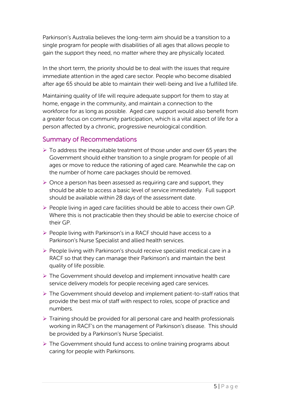Parkinson's Australia believes the long-term aim should be a transition to a single program for people with disabilities of all ages that allows people to gain the support they need, no matter where they are physically located.

In the short term, the priority should be to deal with the issues that require immediate attention in the aged care sector. People who become disabled after age 65 should be able to maintain their well-being and live a fulfilled life.

Maintaining quality of life will require adequate support for them to stay at home, engage in the community, and maintain a connection to the workforce for as long as possible. Aged care support would also benefit from a greater focus on community participation, which is a vital aspect of life for a person affected by a chronic, progressive neurological condition.

#### <span id="page-4-0"></span>Summary of Recommendations

- ➢ To address the inequitable treatment of those under and over 65 years the Government should either transition to a single program for people of all ages or move to reduce the rationing of aged care. Meanwhile the cap on the number of home care packages should be removed.
- $\triangleright$  Once a person has been assessed as requiring care and support, they should be able to access a basic level of service immediately. Full support should be available within 28 days of the assessment date.
- ➢ People living in aged care facilities should be able to access their own GP. Where this is not practicable then they should be able to exercise choice of their GP.
- ➢ People living with Parkinson's in a RACF should have access to a Parkinson's Nurse Specialist and allied health services.
- ➢ People living with Parkinson's should receive specialist medical care in a RACF so that they can manage their Parkinson's and maintain the best quality of life possible.
- ➢ The Government should develop and implement innovative health care service delivery models for people receiving aged care services.
- ➢ The Government should develop and implement patient-to-staff ratios that provide the best mix of staff with respect to roles, scope of practice and numbers.
- ➢ Training should be provided for all personal care and health professionals working in RACF's on the management of Parkinson's disease. This should be provided by a Parkinson's Nurse Specialist.
- ➢ The Government should fund access to online training programs about caring for people with Parkinsons.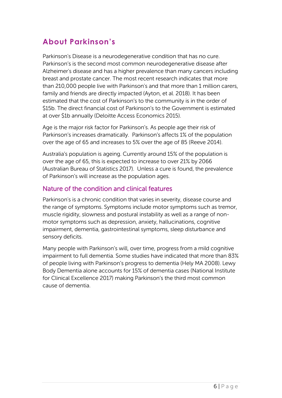# <span id="page-5-0"></span>**About Parkinson's**

Parkinson's Disease is a neurodegenerative condition that has no cure. Parkinson's is the second most common neurodegenerative disease after Alzheimer's disease and has a higher prevalence than many cancers including breast and prostate cancer. The most recent research indicates that more than 210,000 people live with Parkinson's and that more than 1 million carers, family and friends are directly impacted (Ayton, et al. 2018). It has been estimated that the cost of Parkinson's to the community is in the order of \$15b. The direct financial cost of Parkinson's to the Government is estimated at over \$1b annually (Deloitte Access Economics 2015).

Age is the major risk factor for Parkinson's. As people age their risk of Parkinson's increases dramatically. Parkinson's affects 1% of the population over the age of 65 and increases to 5% over the age of 85 (Reeve 2014).

Australia's population is ageing. Currently around 15% of the population is over the age of 65, this is expected to increase to over 21% by 2066 (Australian Bureau of Statistics 2017). Unless a cure is found, the prevalence of Parkinson's will increase as the population ages.

#### <span id="page-5-1"></span>Nature of the condition and clinical features

Parkinson's is a chronic condition that varies in severity, disease course and the range of symptoms. Symptoms include motor symptoms such as tremor, muscle rigidity, slowness and postural instability as well as a range of nonmotor symptoms such as depression, anxiety, hallucinations, cognitive impairment, dementia, gastrointestinal symptoms, sleep disturbance and sensory deficits.

Many people with Parkinson's will, over time, progress from a mild cognitive impairment to full dementia. Some studies have indicated that more than 83% of people living with Parkinson's progress to dementia (Hely MA 2008). Lewy Body Dementia alone accounts for 15% of dementia cases (National Institute for Clinical Excellence 2017) making Parkinson's the third most common cause of dementia.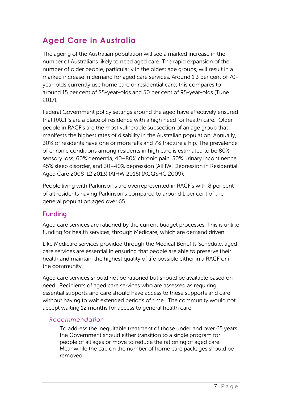# <span id="page-6-0"></span>**Aged Care in Australia**

The ageing of the Australian population will see a marked increase in the number of Australians likely to need aged care. The rapid expansion of the number of older people, particularly in the oldest age groups, will result in a marked increase in demand for aged care services. Around 1.3 per cent of 70 year-olds currently use home care or residential care; this compares to around 15 per cent of 85-year-olds and 50 per cent of 95-year-olds (Tune 2017).

Federal Government policy settings around the aged have effectively ensured that RACF's are a place of residence with a high need for health care. Older people in RACF's are the most vulnerable subsection of an age group that manifests the highest rates of disability in the Australian population. Annually, 30% of residents have one or more falls and 7% fracture a hip. The prevalence of chronic conditions among residents in high care is estimated to be 80% sensory loss, 60% dementia, 40–80% chronic pain, 50% urinary incontinence, 45% sleep disorder, and 30–40% depression (AIHW, Depression in Residential Aged Care 2008-12 2013) (AIHW 2016) (ACQSHC 2009).

People living with Parkinson's are overrepresented in RACF's with 8 per cent of all residents having Parkinson's compared to around 1 per cent of the general population aged over 65.

#### <span id="page-6-1"></span>Funding

Aged care services are rationed by the current budget processes. This is unlike funding for health services, through Medicare, which are demand driven.

Like Medicare services provided through the Medical Benefits Schedule, aged care services are essential in ensuring that people are able to preserve their health and maintain the highest quality of life possible either in a RACF or in the community.

Aged care services should not be rationed but should be available based on need. Recipients of aged care services who are assessed as requiring essential supports and care should have access to these supports and care without having to wait extended periods of time. The community would not accept waiting 12 months for access to general health care.

#### *Recommendation*

To address the inequitable treatment of those under and over 65 years the Government should either transition to a single program for people of all ages or move to reduce the rationing of aged care. Meanwhile the cap on the number of home care packages should be removed.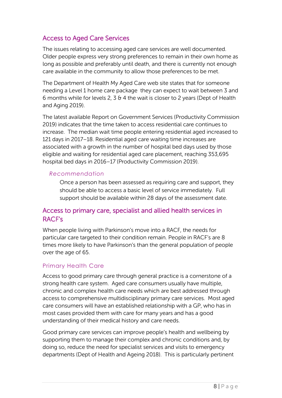## <span id="page-7-0"></span>Access to Aged Care Services

The issues relating to accessing aged care services are well documented. Older people express very strong preferences to remain in their own home as long as possible and preferably until death, and there is currently not enough care available in the community to allow those preferences to be met.

The Department of Health My Aged Care web site states that for someone needing a Level 1 home care package they can expect to wait between 3 and 6 months while for levels 2, 3 & 4 the wait is closer to 2 years (Dept of Health and Aging 2019).

The latest available Report on Government Services (Productivity Commission 2019) indicates that the time taken to access residential care continues to increase. The median wait time people entering residential aged increased to 121 days in 2017–18. Residential aged care waiting time increases are associated with a growth in the number of hospital bed days used by those eligible and waiting for residential aged care placement, reaching 353,695 hospital bed days in 2016–17 (Productivity Commission 2019).

#### *Recommendation*

Once a person has been assessed as requiring care and support, they should be able to access a basic level of service immediately. Full support should be available within 28 days of the assessment date.

## <span id="page-7-1"></span>Access to primary care, specialist and allied health services in RACF's

When people living with Parkinson's move into a RACF, the needs for particular care targeted to their condition remain. People in RACF's are 8 times more likely to have Parkinson's than the general population of people over the age of 65.

#### <span id="page-7-2"></span>Primary Health Care

Access to good primary care through general practice is a cornerstone of a strong health care system. Aged care consumers usually have multiple, chronic and complex health care needs which are best addressed through access to comprehensive multidisciplinary primary care services. Most aged care consumers will have an established relationship with a GP, who has in most cases provided them with care for many years and has a good understanding of their medical history and care needs.

Good primary care services can improve people's health and wellbeing by supporting them to manage their complex and chronic conditions and, by doing so, reduce the need for specialist services and visits to emergency departments (Dept of Health and Ageing 2018). This is particularly pertinent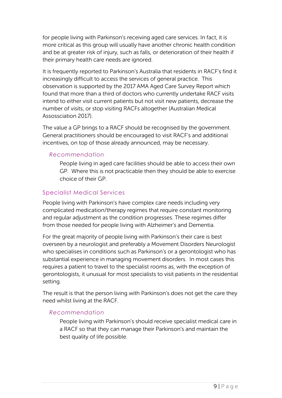for people living with Parkinson's receiving aged care services. In fact, it is more critical as this group will usually have another chronic health condition and be at greater risk of injury, such as falls, or deterioration of their health if their primary health care needs are ignored.

It is frequently reported to Parkinson's Australia that residents in RACF's find it increasingly difficult to access the services of general practice. This observation is supported by the 2017 AMA Aged Care Survey Report which found that more than a third of doctors who currently undertake RACF visits intend to either visit current patients but not visit new patients, decrease the number of visits, or stop visiting RACFs altogether (Australian Medical Assossciation 2017).

The value a GP brings to a RACF should be recognised by the government. General practitioners should be encouraged to visit RACF's and additional incentives, on top of those already announced, may be necessary.

#### *Recommendation*

People living in aged care facilities should be able to access their own GP. Where this is not practicable then they should be able to exercise choice of their GP.

#### <span id="page-8-0"></span>Specialist Medical Services

People living with Parkinson's have complex care needs including very complicated medication/therapy regimes that require constant monitoring and regular adjustment as the condition progresses. These regimes differ from those needed for people living with Alzheimer's and Dementia.

For the great majority of people living with Parkinson's their care is best overseen by a neurologist and preferably a Movement Disorders Neurologist who specialises in conditions such as Parkinson's or a gerontologist who has substantial experience in managing movement disorders. In most cases this requires a patient to travel to the specialist rooms as, with the exception of gerontologists, it unusual for most specialists to visit patients in the residential setting.

The result is that the person living with Parkinson's does not get the care they need whilst living at the RACF.

#### *Recommendation*

People living with Parkinson's should receive specialist medical care in a RACF so that they can manage their Parkinson's and maintain the best quality of life possible.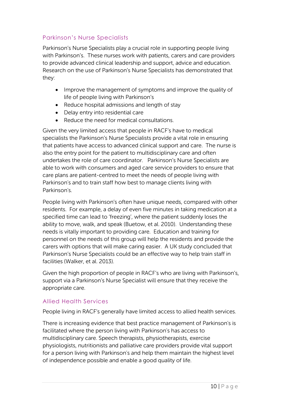### <span id="page-9-0"></span>Parkinson's Nurse Specialists

Parkinson's Nurse Specialists play a crucial role in supporting people living with Parkinson's. These nurses work with patients, carers and care providers to provide advanced clinical leadership and support, advice and education. Research on the use of Parkinson's Nurse Specialists has demonstrated that they:

- Improve the management of symptoms and improve the quality of life of people living with Parkinson's
- Reduce hospital admissions and length of stay
- Delay entry into residential care
- Reduce the need for medical consultations.

Given the very limited access that people in RACF's have to medical specialists the Parkinson's Nurse Specialists provide a vital role in ensuring that patients have access to advanced clinical support and care. The nurse is also the entry point for the patient to multidisciplinary care and often undertakes the role of care coordinator. Parkinson's Nurse Specialists are able to work with consumers and aged care service providers to ensure that care plans are patient-centred to meet the needs of people living with Parkinson's and to train staff how best to manage clients living with Parkinson's.

People living with Parkinson's often have unique needs, compared with other residents. For example, a delay of even five minutes in taking medication at a specified time can lead to 'freezing', where the patient suddenly loses the ability to move, walk, and speak (Buetow, et al. 2010). Understanding these needs is vitally important to providing care. Education and training for personnel on the needs of this group will help the residents and provide the carers with options that will make caring easier. A UK study concluded that Parkinson's Nurse Specialists could be an effective way to help train staff in facilities (Walker, et al. 2013).

Given the high proportion of people in RACF's who are living with Parkinson's, support via a Parkinson's Nurse Specialist will ensure that they receive the appropriate care.

#### <span id="page-9-1"></span>Allied Health Services

People living in RACF's generally have limited access to allied health services.

There is increasing evidence that best practice management of Parkinson's is facilitated where the person living with Parkinson's has access to multidisciplinary care. Speech therapists, physiotherapists, exercise physiologists, nutritionists and palliative care providers provide vital support for a person living with Parkinson's and help them maintain the highest level of independence possible and enable a good quality of life.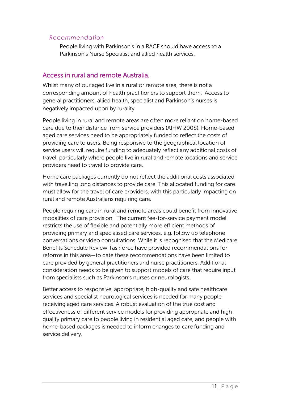#### *Recommendation*

People living with Parkinson's in a RACF should have access to a Parkinson's Nurse Specialist and allied health services.

## <span id="page-10-0"></span>Access in rural and remote Australia.

Whilst many of our aged live in a rural or remote area, there is not a corresponding amount of health practitioners to support them. Access to general practitioners, allied health, specialist and Parkinson's nurses is negatively impacted upon by rurality.

People living in rural and remote areas are often more reliant on home-based care due to their distance from service providers (AIHW 2008). Home-based aged care services need to be appropriately funded to reflect the costs of providing care to users. Being responsive to the geographical location of service users will require funding to adequately reflect any additional costs of travel, particularly where people live in rural and remote locations and service providers need to travel to provide care.

Home care packages currently do not reflect the additional costs associated with travelling long distances to provide care. This allocated funding for care must allow for the travel of care providers, with this particularly impacting on rural and remote Australians requiring care.

People requiring care in rural and remote areas could benefit from innovative modalities of care provision. The current fee-for-service payment model restricts the use of flexible and potentially more efficient methods of providing primary and specialised care services, e.g. follow up telephone conversations or video consultations. While it is recognised that the Medicare Benefits Schedule Review Taskforce have provided recommendations for reforms in this area—to date these recommendations have been limited to care provided by general practitioners and nurse practitioners. Additional consideration needs to be given to support models of care that require input from specialists such as Parkinson's nurses or neurologists.

Better access to responsive, appropriate, high-quality and safe healthcare services and specialist neurological services is needed for many people receiving aged care services. A robust evaluation of the true cost and effectiveness of different service models for providing appropriate and highquality primary care to people living in residential aged care, and people with home-based packages is needed to inform changes to care funding and service delivery.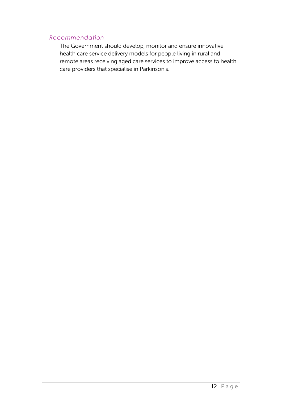#### *Recommendation*

The Government should develop, monitor and ensure innovative health care service delivery models for people living in rural and remote areas receiving aged care services to improve access to health care providers that specialise in Parkinson's.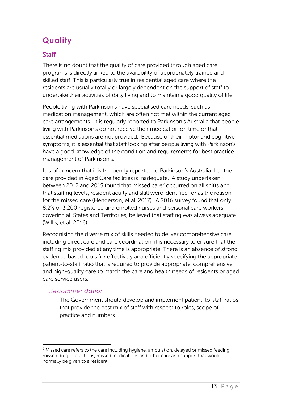# <span id="page-12-0"></span>**Quality**

## <span id="page-12-1"></span>**Staff**

There is no doubt that the quality of care provided through aged care programs is directly linked to the availability of appropriately trained and skilled staff. This is particularly true in residential aged care where the residents are usually totally or largely dependent on the support of staff to undertake their activities of daily living and to maintain a good quality of life.

People living with Parkinson's have specialised care needs, such as medication management, which are often not met within the current aged care arrangements. It is regularly reported to Parkinson's Australia that people living with Parkinson's do not receive their medication on time or that essential mediations are not provided. Because of their motor and cognitive symptoms, it is essential that staff looking after people living with Parkinson's have a good knowledge of the condition and requirements for best practice management of Parkinson's.

It is of concern that it is frequently reported to Parkinson's Australia that the care provided in Aged Care facilities is inadequate. A study undertaken between 2012 and 2015 found that missed care<sup>2</sup> occurred on all shifts and that staffing levels, resident acuity and skill were identified for as the reason for the missed care (Henderson, et al. 2017). A 2016 survey found that only 8.2% of 3,200 registered and enrolled nurses and personal care workers, covering all States and Territories, believed that staffing was always adequate (Willis, et al. 2016).

Recognising the diverse mix of skills needed to deliver comprehensive care, including direct care and care coordination, it is necessary to ensure that the staffing mix provided at any time is appropriate. There is an absence of strong evidence-based tools for effectively and efficiently specifying the appropriate patient-to-staff ratio that is required to provide appropriate, comprehensive and high-quality care to match the care and health needs of residents or aged care service users.

#### *Recommendation*

The Government should develop and implement patient-to-staff ratios that provide the best mix of staff with respect to roles, scope of practice and numbers.

 $2$  Missed care refers to the care including hygiene, ambulation, delayed or missed feeding, missed drug interactions, missed medications and other care and support that would normally be given to a resident.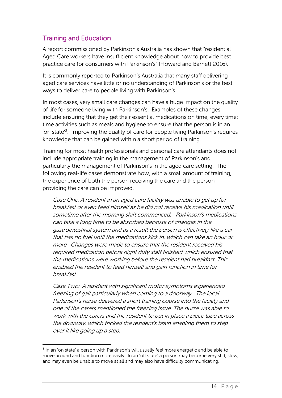## <span id="page-13-0"></span>Training and Education

A report commissioned by Parkinson's Australia has shown that "residential Aged Care workers have insufficient knowledge about how to provide best practice care for consumers with Parkinson's" (Howard and Barnett 2016).

It is commonly reported to Parkinson's Australia that many staff delivering aged care services have little or no understanding of Parkinson's or the best ways to deliver care to people living with Parkinson's.

In most cases, very small care changes can have a huge impact on the quality of life for someone living with Parkinson's. Examples of these changes include ensuring that they get their essential medications on time, every time; time activities such as meals and hygiene to ensure that the person is in an 'on state'<sup>3</sup>. Improving the quality of care for people living Parkinson's requires knowledge that can be gained within a short period of training.

Training for most health professionals and personal care attendants does not include appropriate training in the management of Parkinson's and particularly the management of Parkinson's in the aged care setting. The following real-life cases demonstrate how, with a small amount of training, the experience of both the person receiving the care and the person providing the care can be improved.

Case One: A resident in an aged care facility was unable to get up for breakfast or even feed himself as he did not receive his medication until sometime after the morning shift commenced. Parkinson's medications can take a long time to be absorbed because of changes in the gastrointestinal system and as a result the person is effectively like a car that has no fuel until the medications kick in, which can take an hour or more. Changes were made to ensure that the resident received his required medication before night duty staff finished which ensured that the medications were working before the resident had breakfast. This enabled the resident to feed himself and gain function in time for breakfast.

Case Two: A resident with significant motor symptoms experienced freezing of gait particularly when coming to a doorway. The local Parkinson's nurse delivered a short training course into the facility and one of the carers mentioned the freezing issue. The nurse was able to work with the carers and the resident to put in place a piece tape across the doorway, which tricked the resident's brain enabling them to step over it like going up a step.

 $3$  In an 'on state' a person with Parkinson's will usually feel more energetic and be able to move around and function more easily. In an 'off state' a person may become very stiff, slow, and may even be unable to move at all and may also have difficulty communicating.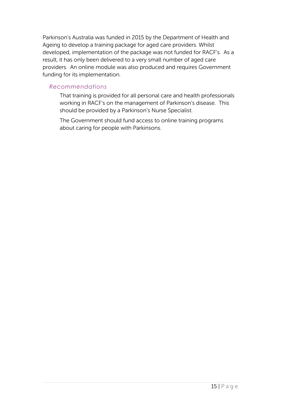Parkinson's Australia was funded in 2015 by the Department of Health and Ageing to develop a training package for aged care providers. Whilst developed, implementation of the package was not funded for RACF's. As a result, it has only been delivered to a very small number of aged care providers. An online module was also produced and requires Government funding for its implementation.

#### *Recommendations*

That training is provided for all personal care and health professionals working in RACF's on the management of Parkinson's disease. This should be provided by a Parkinson's Nurse Specialist.

The Government should fund access to online training programs about caring for people with Parkinsons.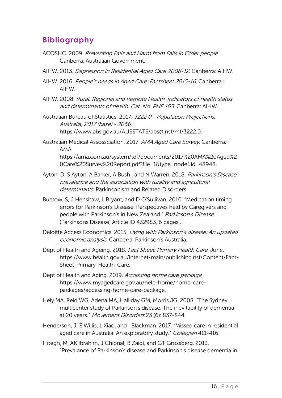# **Bibliography**

- ACQSHC. 2009. Preventing Falls and Harm from Falls in Older people. Canberra: Australian Government.
- AIHW. 2013. Depression in Residential Aged Care 2008-12. Canberra: AIHW.
- AIHW. 2016. People's needs in Aged Care: Factsheet 2015-16. Canberra : AIHW.
- AIHW. 2008. Rural, Regional and Remote Health: Indicators of health status and determinants of health. Cat. No. PHE 103. Canberra: AIHW.
- Australian Bureau of Statistics. 2017. 3222.0 Population Projections, Australia, 2017 (base) - 2066. https://www.abs.gov.au/AUSSTATS/abs@.nsf/mf/3222.0.
- Australian Medical Assossciation. 2017. AMA Aged Care Survey. Canberra: AMA. https://ama.com.au/system/tdf/documents/2017%20AMA%20Aged%2 0Care%20Survey%20Report.pdf?file=1&type=node&id=48948.
- Ayton, D, S Ayton, A Barker, A Bush, and N Warren. 2018. Parkinson's Disease prevalence and the association with rurality and agricultural determinants. Parkinsonism and Related Disorders.
- Buetow, S, J Henshaw, L Bryant, and D O'Sullivan. 2010. "Medication timing errors for Parkinson's Disease: Perspectives held by Caregivers and people with Parkinson's in New Zealand." Parkinson's Disease (Parkinsons Disease) Article ID 432983, 6 pages,.
- Deloitte Access Economics. 2015. Living with Parkinson's disease: An updated economic analysis. Canberra: Parkinson's Australia.
- Dept of Health and Ageing. 2018. Fact Sheet: Primary Health Care. June. https://www.health.gov.au/internet/main/publishing.nsf/Content/Fact-Sheet-Primary-Health-Care.
- Dept of Health and Aging. 2019. Accessing home care package. https://www.myagedcare.gov.au/help-home/home-carepackages/accessing-home-care-package.
- Hely MA, Reid WG, Adena MA, Halliday GM, Morris JG. 2008. "The Sydney multicenter study of Parkinson's disease: The inevitability of dementia at 20 years." Movement Disorders 23 (6): 837-844.
- Henderson, J, E Willis, L Xiao, and I Blackman. 2017. "Missed care in residential aged care in Australia: An exploratory study." Collegian 411-416.
- Hoegh, M, AK Ibrahim, J Chibnal, B Zaidi, and GT Grossberg. 2013. "Prevalance of Parkinson's disease and Parkinson's disease dementia in